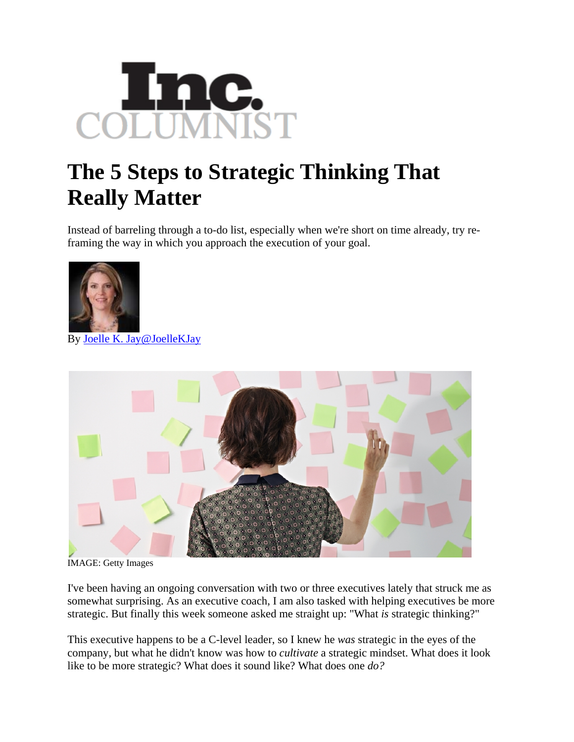

## **The 5 Steps to Strategic Thinking That Really Matter**

Instead of barreling through a to-do list, especially when we're short on time already, try reframing the way in which you approach the execution of your goal.



By [Joelle K. Jay](http://www.inc.com/author/joelle-k-jay)[@JoelleKJay](http://www.twitter.com/JoelleKJay)



IMAGE: Getty Images

I've been having an ongoing conversation with two or three executives lately that struck me as somewhat surprising. As an executive coach, I am also tasked with helping executives be more strategic. But finally this week someone asked me straight up: "What *is* strategic thinking?"

This executive happens to be a C-level leader, so I knew he *was* strategic in the eyes of the company, but what he didn't know was how to *cultivate* a strategic mindset. What does it look like to be more strategic? What does it sound like? What does one *do?*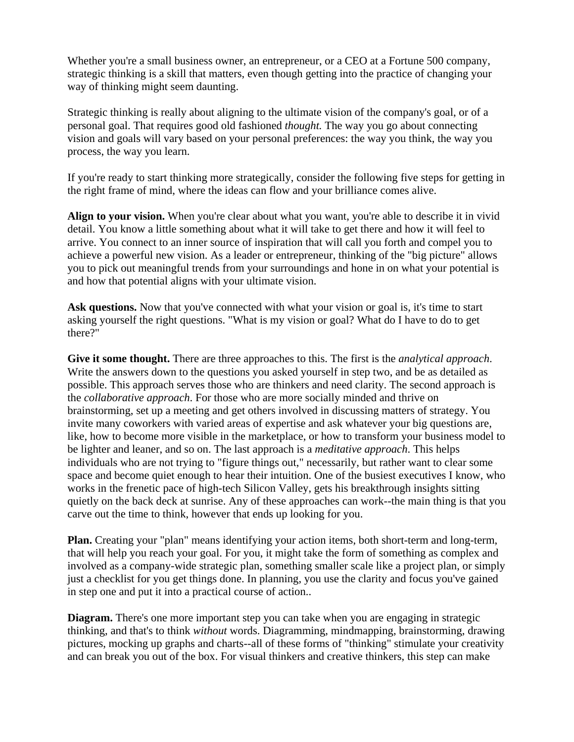Whether you're a small business owner, an entrepreneur, or a CEO at a Fortune 500 company, strategic thinking is a skill that matters, even though getting into the practice of changing your way of thinking might seem daunting.

Strategic thinking is really about aligning to the ultimate vision of the company's goal, or of a personal goal. That requires good old fashioned *thought.* The way you go about connecting vision and goals will vary based on your personal preferences: the way you think, the way you process, the way you learn.

If you're ready to start thinking more strategically, consider the following five steps for getting in the right frame of mind, where the ideas can flow and your brilliance comes alive.

**Align to your vision.** When you're clear about what you want, you're able to describe it in vivid detail. You know a little something about what it will take to get there and how it will feel to arrive. You connect to an inner source of inspiration that will call you forth and compel you to achieve a powerful new vision. As a leader or entrepreneur, thinking of the "big picture" allows you to pick out meaningful trends from your surroundings and hone in on what your potential is and how that potential aligns with your ultimate vision.

Ask questions. Now that you've connected with what your vision or goal is, it's time to start asking yourself the right questions. "What is my vision or goal? What do I have to do to get there?"

**Give it some thought.** There are three approaches to this. The first is the *analytical approach*. Write the answers down to the questions you asked yourself in step two, and be as detailed as possible. This approach serves those who are thinkers and need clarity. The second approach is the *collaborative approach*. For those who are more socially minded and thrive on brainstorming, set up a meeting and get others involved in discussing matters of strategy. You invite many coworkers with varied areas of expertise and ask whatever your big questions are, like, how to become more visible in the marketplace, or how to transform your business model to be lighter and leaner, and so on. The last approach is a *meditative approach*. This helps individuals who are not trying to "figure things out," necessarily, but rather want to clear some space and become quiet enough to hear their intuition. One of the busiest executives I know, who works in the frenetic pace of high-tech Silicon Valley, gets his breakthrough insights sitting quietly on the back deck at sunrise. Any of these approaches can work--the main thing is that you carve out the time to think, however that ends up looking for you.

**Plan.** Creating your "plan" means identifying your action items, both short-term and long-term, that will help you reach your goal. For you, it might take the form of something as complex and involved as a company-wide strategic plan, something smaller scale like a project plan, or simply just a checklist for you get things done. In planning, you use the clarity and focus you've gained in step one and put it into a practical course of action..

**Diagram.** There's one more important step you can take when you are engaging in strategic thinking, and that's to think *without* words. Diagramming, mindmapping, brainstorming, drawing pictures, mocking up graphs and charts--all of these forms of "thinking" stimulate your creativity and can break you out of the box. For visual thinkers and creative thinkers, this step can make